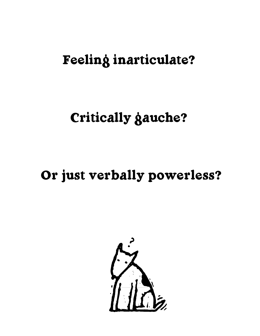# Feeling inarticulate?

## Critically gauche?

# Or just verbally powerless?

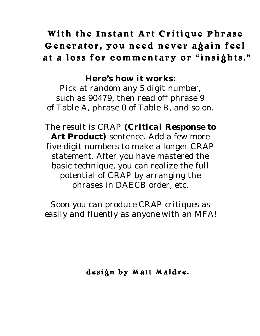### With the Instant Art Critique Phrase Generator, you need never again feel at a loss for commentary or "insights."

**Here's how it works:** Pick at random any 5 digit number, such as 90479, then read off phrase 9 of Table A, phrase 0 of Table B, and so on.

The result is CRAP *(Critical Response to Art Product)* sentence. Add a few more five digit numbers to make a longer CRAP statement. After you have mastered the basic technique, you can realize the full potential of CRAP by arranging the phrases in DAECB order, etc.

*Soon you can produce CRAP critiques as easily and fluently as anyone with an MFA !*

design by Matt Maldre.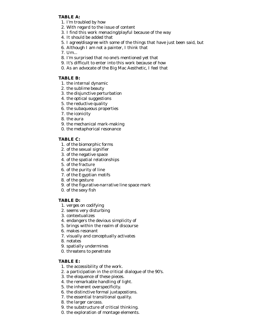#### **TABLE A:**

- 1. I'm troubled by how
- 2. With regard to the issue of content
- 3. I find this work menacing/playful because of the way
- 4. It should be added that
- 5. I agree/disagree with some of the things that have just been said, but
- 6. Although I am not a painter, I think that
- 7. Um...
- 8. I'm surprised that no one's mentioned yet that
- 9. It's difficult to enter into this work because of how
- 0. As an advocate of the Big Mac Aesthetic, I feel that

#### **TABLE B:**

- 1. the internal dynamic
- 2. the sublime beauty
- 3. the disjunctive perturbation
- 4. the optical suggestions
- 5. the reductive quality
- 6. the subaqueous properties
- 7. the iconicity
- 8. the aura
- 9. the mechanical mark-making
- 0. the metaphorical resonance

### **TABLE C:**

- 1. of the biomorphic forms
- 2. of the sexual signifier
- 3. of the negative space
- 4. of the spatial relationships
- 5. of the fracture
- 6. of the purity of line
- 7. of the Egyptian motifs
- 8. of the gesture
- 9. of the figurative-narrative line space mark
- 0. of the sexy fish

#### **TABLE D:**

- 1. verges on codifying
- 2. seems very disturbing
- 3. contextualizes
- 4. endangers the devious simplicity of
- 5. brings within the realm of discourse
- 6. makes resonant
- 7. visually and conceptually activates
- 8. notates
- 9. spatially undermines
- 0. threatens to penetrate

### **TABLE E:**

- 1. the accessibility of the work.
- 2. a participation in the critical dialogue of the 90's.
- 3. the eloquence of these pieces.
- 4. the remarkable handling of light.
- 5. the inherent overspecificity.
- 6. the distinctive formal juxtapostions.
- 7. the essential transitional quality.
- 8. the larger carcass.
- 9. the substructure of critical thinking.
- 0. the exploration of montage elements.